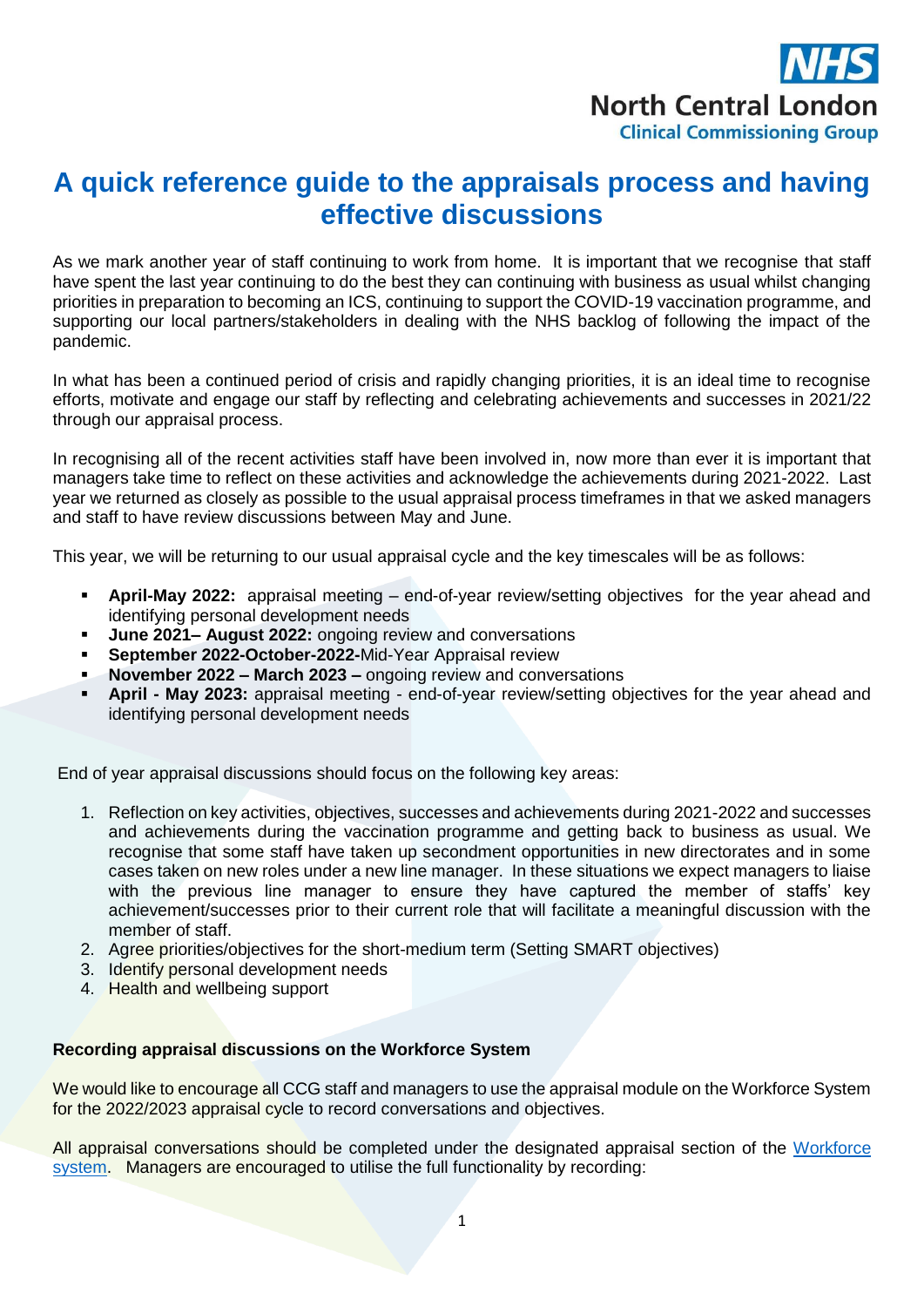

### **A quick reference guide to the appraisals process and having effective discussions**

As we mark another year of staff continuing to work from home. It is important that we recognise that staff have spent the last year continuing to do the best they can continuing with business as usual whilst changing priorities in preparation to becoming an ICS, continuing to support the COVID-19 vaccination programme, and supporting our local partners/stakeholders in dealing with the NHS backlog of following the impact of the pandemic.

In what has been a continued period of crisis and rapidly changing priorities, it is an ideal time to recognise efforts, motivate and engage our staff by reflecting and celebrating achievements and successes in 2021/22 through our appraisal process.

In recognising all of the recent activities staff have been involved in, now more than ever it is important that managers take time to reflect on these activities and acknowledge the achievements during 2021-2022. Last year we returned as closely as possible to the usual appraisal process timeframes in that we asked managers and staff to have review discussions between May and June.

This year, we will be returning to our usual appraisal cycle and the key timescales will be as follows:

- **April-May 2022:** appraisal meeting end-of-year review/setting objectives for the year ahead and identifying personal development needs
- **June 2021– August 2022:** ongoing review and conversations
- **September 2022-October-2022-**Mid-Year Appraisal review
- **November 2022 – March 2023 –** ongoing review and conversations
- **April - May 2023:** appraisal meeting end-of-year review/setting objectives for the year ahead and identifying personal development needs

End of year appraisal discussions should focus on the following key areas:

- 1. Reflection on key activities, objectives, successes and achievements during 2021-2022 and successes and achievements during the vaccination programme and getting back to business as usual. We recognise that some staff have taken up secondment opportunities in new directorates and in some cases taken on new roles under a new line manager. In these situations we expect managers to liaise with the previous line manager to ensure they have captured the member of staffs' key achievement/successes prior to their current role that will facilitate a meaningful discussion with the member of staff.
- 2. Agree priorities/objectives for the short-medium term (Setting SMART objectives)
- 3. Identify personal development needs
- 4. Health and wellbeing support

### **Recording appraisal discussions on the Workforce System**

We would like to encourage all CCG staff and managers to use the appraisal module on the Workforce System for the 2022/2023 appraisal cycle to record conversations and objectives.

All appraisal conversations should be completed under the designated appraisal section of the [Workforce](https://nclccgs.nhsworkforce.org/login/?Msg=s0)  [system.](https://nclccgs.nhsworkforce.org/login/?Msg=s0) Managers are encouraged to utilise the full functionality by recording: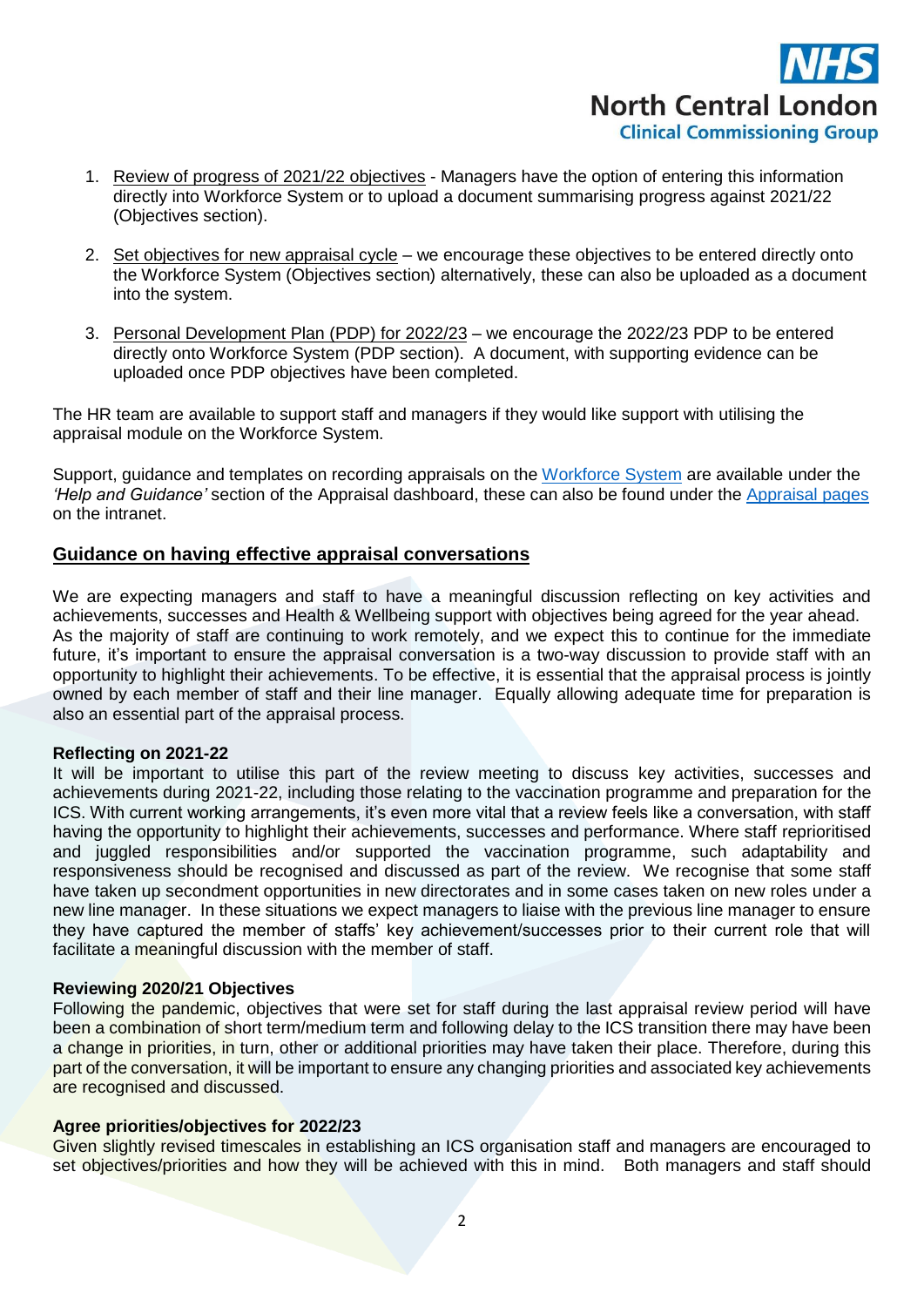

- 1. Review of progress of 2021/22 objectives Managers have the option of entering this information directly into Workforce System or to upload a document summarising progress against 2021/22 (Objectives section).
- 2. Set objectives for new appraisal cycle we encourage these objectives to be entered directly onto the Workforce System (Objectives section) alternatively, these can also be uploaded as a document into the system.
- 3. Personal Development Plan (PDP) for 2022/23 we encourage the 2022/23 PDP to be entered directly onto Workforce System (PDP section). A document, with supporting evidence can be uploaded once PDP objectives have been completed.

The HR team are available to support staff and managers if they would like support with utilising the appraisal module on the Workforce System.

Support, guidance and templates on recording appraisals on the [Workforce System](https://nclccgs.nhsworkforce.org/login/?Msg=s0) are available under the *'Help and Guidance'* section of the Appraisal dashboard, these can also be found under the [Appraisal pages](https://intranet.northcentrallondonccg.nhs.uk/working/appraisals.htm) on the intranet.

### **Guidance on having effective appraisal conversations**

We are expecting managers and staff to have a meaningful discussion reflecting on key activities and achievements, successes and Health & Wellbeing support with objectives being agreed for the year ahead. As the majority of staff are continuing to work remotely, and we expect this to continue for the immediate future, it's important to ensure the appraisal conversation is a two-way discussion to provide staff with an opportunity to highlight their achievements. To be effective, it is essential that the appraisal process is jointly owned by each member of staff and their line manager. Equally allowing adequate time for preparation is also an essential part of the appraisal process.

### **Reflecting on 2021-22**

It will be important to utilise this part of the review meeting to discuss key activities, successes and achievements during 2021-22, including those relating to the vaccination programme and preparation for the ICS. With current working arrangements, it's even more vital that a review feels like a conversation, with staff having the opportunity to highlight their achievements, successes and performance. Where staff reprioritised and juggled responsibilities and/or supported the vaccination programme, such adaptability and responsiveness should be recognised and discussed as part of the review. We recognise that some staff have taken up secondment opportunities in new directorates and in some cases taken on new roles under a new line manager. In these situations we expect managers to liaise with the previous line manager to ensure they have captured the member of staffs' key achievement/successes prior to their current role that will facilitate a meaningful discussion with the member of staff.

### **Reviewing 2020/21 Objectives**

Following the pandemic, objectives that were set for staff during the last appraisal review period will have been a combination of short term/medium term and following delay to the ICS transition there may have been a change in priorities, in turn, other or additional priorities may have taken their place. Therefore, during this part of the conversation, it will be important to ensure any changing priorities and associated key achievements are recognised and discussed.

### **Agree priorities/objectives for 2022/23**

Given slightly revised timescales in establishing an ICS organisation staff and managers are encouraged to set objectives/priorities and how they will be achieved with this in mind. Both managers and staff should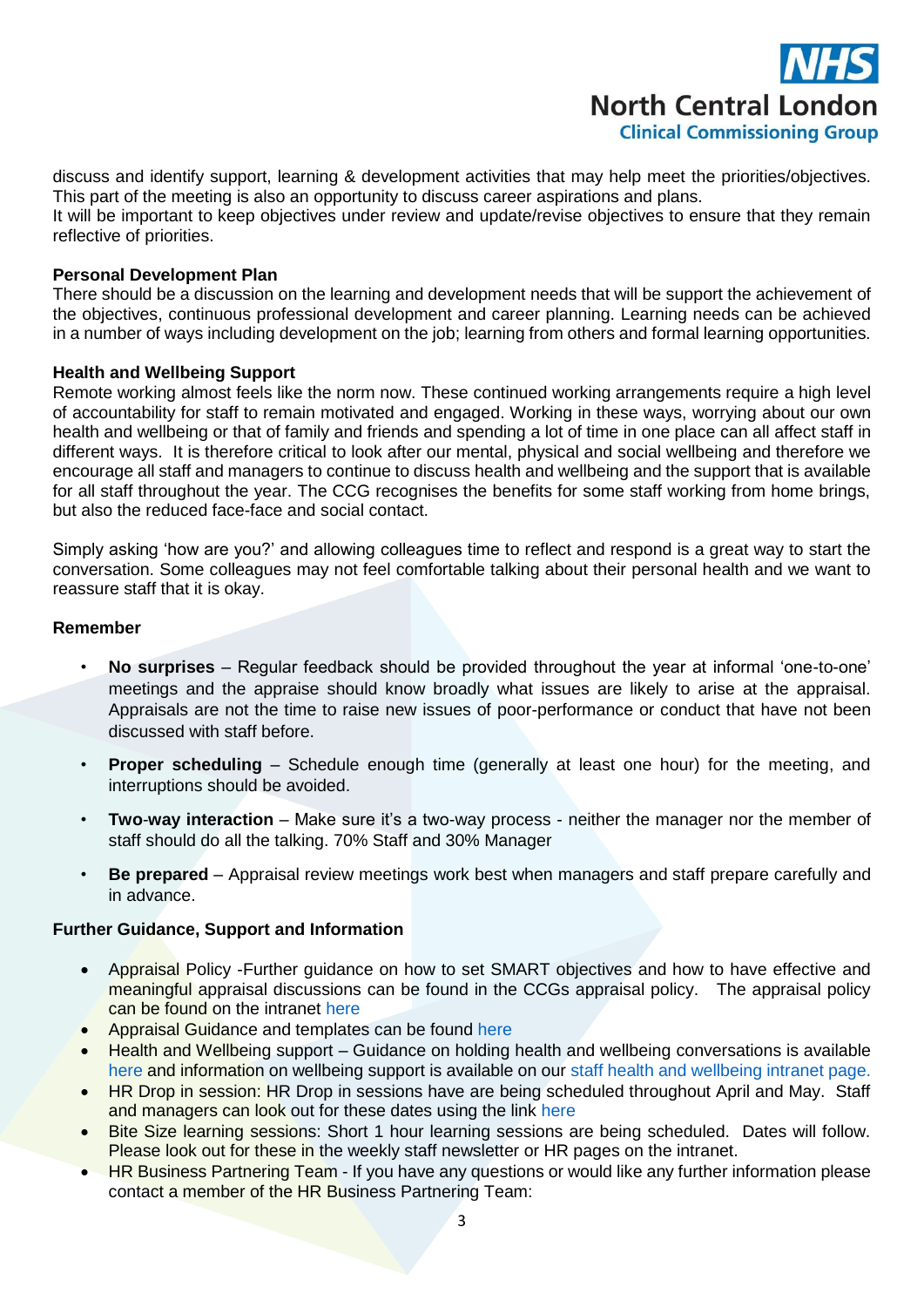## **North Central London Clinical Commissioning Group**

discuss and identify support, learning & development activities that may help meet the priorities/objectives. This part of the meeting is also an opportunity to discuss career aspirations and plans.

It will be important to keep objectives under review and update/revise objectives to ensure that they remain reflective of priorities.

### **Personal Development Plan**

There should be a discussion on the learning and development needs that will be support the achievement of the objectives, continuous professional development and career planning. Learning needs can be achieved in a number of ways including development on the job; learning from others and formal learning opportunities.

### **Health and Wellbeing Support**

Remote working almost feels like the norm now. These continued working arrangements require a high level of accountability for staff to remain motivated and engaged. Working in these ways, worrying about our own health and wellbeing or that of family and friends and spending a lot of time in one place can all affect staff in different ways. It is therefore critical to look after our mental, physical and social wellbeing and therefore we encourage all staff and managers to continue to discuss health and wellbeing and the support that is available for all staff throughout the year. The CCG recognises the benefits for some staff working from home brings, but also the reduced face-face and social contact.

Simply asking 'how are you?' and allowing colleagues time to reflect and respond is a great way to start the conversation. Some colleagues may not feel comfortable talking about their personal health and we want to reassure staff that it is okay.

### **Remember**

- **No surprises** Regular feedback should be provided throughout the year at informal 'one-to-one' meetings and the appraise should know broadly what issues are likely to arise at the appraisal. Appraisals are not the time to raise new issues of poor-performance or conduct that have not been discussed with staff before.
- **Proper scheduling** Schedule enough time (generally at least one hour) for the meeting, and interruptions should be avoided.
- **Two**-**way interaction** Make sure it's a two-way process neither the manager nor the member of staff should do all the talking. 70% Staff and 30% Manager
- **Be prepared** Appraisal review meetings work best when managers and staff prepare carefully and in advance.

### **Further Guidance, Support and Information**

- Appraisal Policy -Further guidance on how to set SMART objectives and how to have effective and meaningful appraisal discussions can be found in the CCGs appraisal policy. The appraisal policy can be found on the intranet [here](https://intranet.northcentrallondonccg.nhs.uk/policies/Appraisal%20Policy%20and%20Procedure.pdf)
- Appraisal Guidance and templates can be found [here](https://intranet.northcentrallondonccg.nhs.uk/working/appraisals.htm)
- Health and Wellbeing support Guidance on holding health and wellbeing conversations is available [here](https://people.nhs.uk/projectm_old_v1/wellbeing-conversations/) and information on wellbeing support is available on our [staff health and wellbeing intranet page.](https://intranet.northcentrallondonccg.nhs.uk/health/your-health-and-wellbeing.htm)
- HR Drop in session: HR Drop in sessions have are being scheduled throughout April and May. Staff and managers can look out for these dates using the link [here](https://intranet.northcentrallondonccg.nhs.uk/training/hr-drop-in-sessions.htm)
- Bite Size learning sessions: Short 1 hour learning sessions are being scheduled. Dates will follow. Please look out for these in the weekly staff newsletter or HR pages on the intranet.
- HR Business Partnering Team If you have any questions or would like any further information please contact a member of the HR Business Partnering Team: